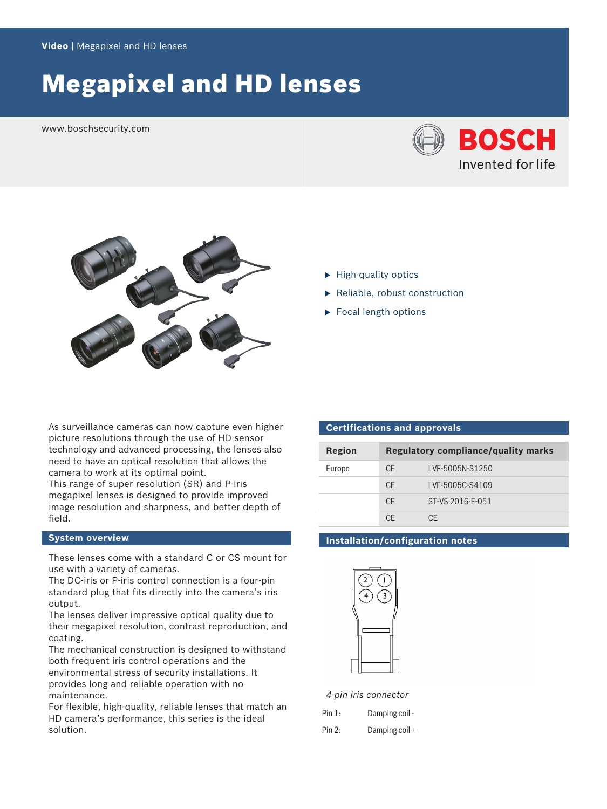# Megapixel and HD lenses

www.boschsecurity.com





- $\blacktriangleright$  High-quality optics
- $\blacktriangleright$  Reliable, robust construction
- $\blacktriangleright$  Focal length options

As surveillance cameras can now capture even higher picture resolutions through the use of HD sensor technology and advanced processing, the lenses also need to have an optical resolution that allows the camera to work at its optimal point.

This range of super resolution (SR) and P-iris megapixel lenses is designed to provide improved image resolution and sharpness, and better depth of field.

#### **System overview**

These lenses come with a standard C or CS mount for use with a variety of cameras.

The DC-iris or P-iris control connection is a four-pin standard plug that fits directly into the camera's iris output.

The lenses deliver impressive optical quality due to their megapixel resolution, contrast reproduction, and coating.

The mechanical construction is designed to withstand both frequent iris control operations and the environmental stress of security installations. It provides long and reliable operation with no maintenance.

For flexible, high-quality, reliable lenses that match an HD camera's performance, this series is the ideal solution.

#### **Certifications and approvals**

| Region | <b>Regulatory compliance/quality marks</b> |                  |
|--------|--------------------------------------------|------------------|
| Europe | CE.                                        | LVF-5005N-S1250  |
|        | CF                                         | LVF-5005C-S4109  |
|        | CF                                         | ST-VS 2016-F-051 |
|        | СF                                         | ΓF               |

#### **Installation/configuration notes**



*4-pin iris connector*

| Pin 1: | Damping coil - |
|--------|----------------|
| Pin 2: | Damping coil + |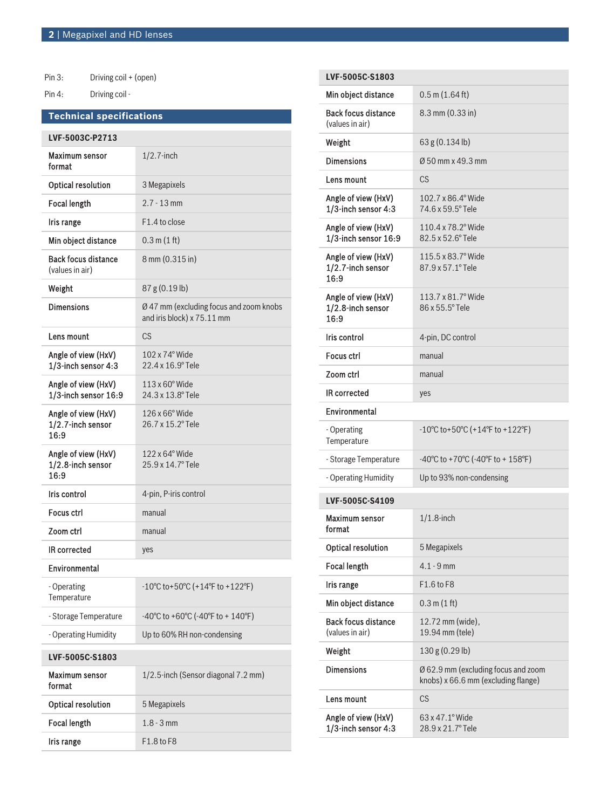Pin 3: Driving coil + (open) Pin 4: Driving coil -

## **Technical specifications**

| LVF-5003C-P2713                                  |                                                                              |  |
|--------------------------------------------------|------------------------------------------------------------------------------|--|
| Maximum sensor<br>format                         | $1/2.7$ -inch                                                                |  |
| <b>Optical resolution</b>                        | 3 Megapixels                                                                 |  |
| <b>Focal length</b>                              | $2.7 - 13$ mm                                                                |  |
| Iris range                                       | F1.4 to close                                                                |  |
| Min object distance                              | 0.3 m(1 ft)                                                                  |  |
| <b>Back focus distance</b><br>(values in air)    | 8 mm (0.315 in)                                                              |  |
| Weight                                           | 87 g (0.19 lb)                                                               |  |
| <b>Dimensions</b>                                | Ø 47 mm (excluding focus and zoom knobs<br>and iris block) x 75.11 mm        |  |
| Lens mount                                       | <b>CS</b>                                                                    |  |
| Angle of view (HxV)<br>1/3-inch sensor 4:3       | $102 \times 74$ ° Wide<br>22.4 x 16.9° Tele                                  |  |
| Angle of view (HxV)<br>1/3-inch sensor 16:9      | 113 x 60° Wide<br>24.3 x 13.8° Tele                                          |  |
| Angle of view (HxV)<br>1/2.7-inch sensor<br>16:9 | 126 x 66° Wide<br>26.7 x 15.2° Tele                                          |  |
| Angle of view (HxV)<br>1/2.8-inch sensor<br>16:9 | $122 \times 64^{\circ}$ Wide<br>25.9 x 14.7° Tele                            |  |
| Iris control                                     | 4-pin, P-iris control                                                        |  |
| Focus ctrl                                       | manual                                                                       |  |
| Zoom ctrl                                        | manual                                                                       |  |
| <b>IR corrected</b>                              | yes                                                                          |  |
| Environmental                                    |                                                                              |  |
| - Operating<br>Temperature                       | $-10^{\circ}$ C to + 50 $^{\circ}$ C (+14 $^{\circ}$ F to +122 $^{\circ}$ F) |  |
| - Storage Temperature                            | -40°C to +60°C (-40°F to + 140°F)                                            |  |
| - Operating Humidity                             | Up to 60% RH non-condensing                                                  |  |
| LVF-5005C-S1803                                  |                                                                              |  |
| Maximum sensor<br>format                         | 1/2.5-inch (Sensor diagonal 7.2 mm)                                          |  |
| <b>Optical resolution</b>                        | 5 Megapixels                                                                 |  |
| <b>Focal length</b>                              | $1.8 - 3$ mm                                                                 |  |
| Iris range                                       | F1.8 to F8                                                                   |  |

| LVF-5005C-S1803                                  |                                                                            |
|--------------------------------------------------|----------------------------------------------------------------------------|
| Min object distance                              | $0.5$ m $(1.64$ ft)                                                        |
| <b>Back focus distance</b><br>(values in air)    | 8.3 mm (0.33 in)                                                           |
| Weight                                           | 63g (0.134 lb)                                                             |
| <b>Dimensions</b>                                | Ø 50 mm x 49.3 mm                                                          |
| Lens mount                                       | <b>CS</b>                                                                  |
| Angle of view (HxV)<br>1/3-inch sensor 4:3       | 102.7 x 86.4° Wide<br>74.6 x 59.5° Tele                                    |
| Angle of view (HxV)<br>$1/3$ -inch sensor $16.9$ | 110.4 x 78.2° Wide<br>82.5 x 52.6° Tele                                    |
| Angle of view (HxV)<br>1/2.7-inch sensor<br>16:9 | 115.5 x 83.7° Wide<br>87.9 x 57.1° Tele                                    |
| Angle of view (HxV)<br>1/2.8-inch sensor<br>16:9 | 113.7 x 81.7° Wide<br>86 x 55.5° Tele                                      |
| Iris control                                     | 4-pin, DC control                                                          |
| Focus ctrl                                       | manual                                                                     |
| Zoom ctrl                                        | manual                                                                     |
| <b>IR corrected</b>                              | yes                                                                        |
|                                                  |                                                                            |
| Environmental                                    |                                                                            |
| - Operating<br>Temperature                       | -10°C to+50°C (+14°F to +122°F)                                            |
| - Storage Temperature                            | -40°C to +70°C (-40°F to + 158°F)                                          |
| - Operating Humidity                             | Up to 93% non-condensing                                                   |
| LVF-5005C-S4109                                  |                                                                            |
| Maximum sensor<br>format                         | $1/1.8$ -inch                                                              |
| <b>Optical resolution</b>                        | 5 Megapixels                                                               |
| <b>Focal length</b>                              | $4.1 - 9$ mm                                                               |
| Iris range                                       | F1.6 to F8                                                                 |
| Min object distance                              | $0.3 \text{ m} (1 \text{ ft})$                                             |
| <b>Back focus distance</b><br>(values in air)    | 12.72 mm (wide),<br>19.94 mm (tele)                                        |
| Weight                                           | 130 g (0.29 lb)                                                            |
| <b>Dimensions</b>                                | Ø 62.9 mm (excluding focus and zoom<br>knobs) x 66.6 mm (excluding flange) |
| Lens mount                                       | CS                                                                         |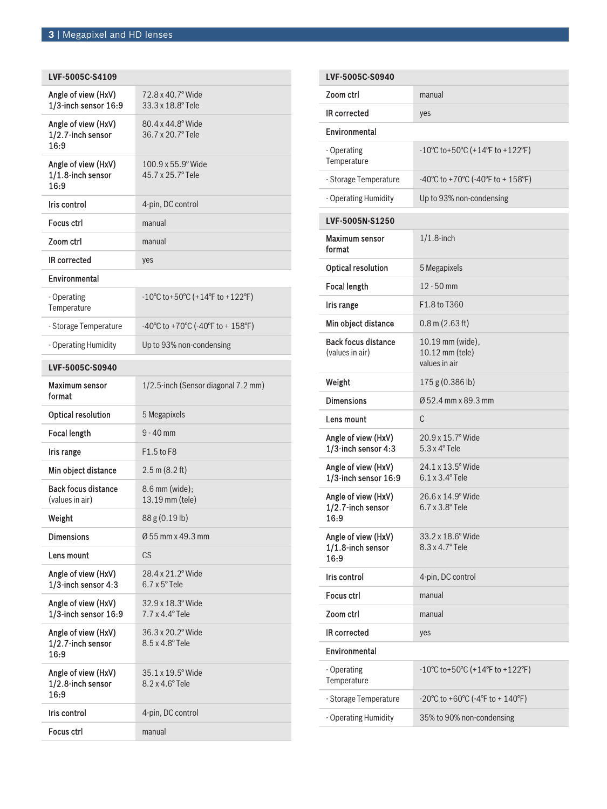| LVF-5005C-S4109                                  |                                                                              |  |
|--------------------------------------------------|------------------------------------------------------------------------------|--|
| Angle of view (HxV)<br>1/3-inch sensor 16:9      | 72.8 x 40.7° Wide<br>33.3 x 18.8° Tele                                       |  |
| Angle of view (HxV)<br>1/2.7-inch sensor<br>16:9 | 80.4 x 44.8° Wide<br>36.7 x 20.7° Tele                                       |  |
| Angle of view (HxV)<br>1/1.8-inch sensor<br>16:9 | $100.9 \times 55.9$ ° Wide<br>45.7 x 25.7° Tele                              |  |
| Iris control                                     | 4-pin, DC control                                                            |  |
| <b>Focus ctrl</b>                                | manual                                                                       |  |
| Zoom ctrl                                        | manual                                                                       |  |
| <b>IR corrected</b>                              | yes                                                                          |  |
| Environmental                                    |                                                                              |  |
| - Operating<br>Temperature                       | $-10^{\circ}$ C to + 50 $^{\circ}$ C (+14 $^{\circ}$ F to +122 $^{\circ}$ F) |  |
| - Storage Temperature                            | -40°C to +70°C (-40°F to + 158°F)                                            |  |
| - Operating Humidity                             | Up to 93% non-condensing                                                     |  |
| LVF-5005C-S0940                                  |                                                                              |  |
| Maximum sensor<br>format                         | 1/2.5-inch (Sensor diagonal 7.2 mm)                                          |  |
|                                                  |                                                                              |  |
| <b>Optical resolution</b>                        | 5 Megapixels                                                                 |  |
| <b>Focal length</b>                              | $9 - 40$ mm                                                                  |  |
| Iris range                                       | F1.5 to F8                                                                   |  |
| Min object distance                              | $2.5 \text{ m}$ (8.2 ft)                                                     |  |
| <b>Back focus distance</b><br>(values in air)    | 8.6 mm (wide);<br>13.19 mm (tele)                                            |  |
| Weight                                           | 88 g (0.19 lb)                                                               |  |
| <b>Dimensions</b>                                | Ø 55 mm x 49.3 mm                                                            |  |
| Lens mount                                       | CS                                                                           |  |
| Angle of view (HxV)<br>1/3-inch sensor 4:3       | 28.4 x 21.2° Wide<br>$6.7 \times 5^{\circ}$ Tele                             |  |
| Angle of view (HxV)<br>1/3-inch sensor 16:9      | 32.9 x 18.3° Wide<br>$7.7 \times 4.4^{\circ}$ Tele                           |  |
| Angle of view (HxV)<br>1/2.7-inch sensor<br>16:9 | 36.3 x 20.2° Wide<br>8.5 x 4.8° Tele                                         |  |
| Angle of view (HxV)<br>1/2.8-inch sensor<br>16:9 | 35.1 x 19.5° Wide<br>$8.2 \times 4.6^\circ$ Tele                             |  |
| Iris control                                     | 4-pin, DC control                                                            |  |

| LVF-5005C-S0940                                  |                                                                              |  |  |
|--------------------------------------------------|------------------------------------------------------------------------------|--|--|
| Zoom ctrl                                        | manual                                                                       |  |  |
| <b>IR corrected</b>                              | yes                                                                          |  |  |
| Environmental                                    |                                                                              |  |  |
| - Operating<br>Temperature                       | $-10^{\circ}$ C to + 50 $^{\circ}$ C (+14 $^{\circ}$ F to +122 $^{\circ}$ F) |  |  |
| - Storage Temperature                            | $-40^{\circ}$ C to +70 $^{\circ}$ C ( $-40^{\circ}$ F to + 158 $^{\circ}$ F) |  |  |
| - Operating Humidity                             | Up to 93% non-condensing                                                     |  |  |
| LVF-5005N-S1250                                  |                                                                              |  |  |
| Maximum sensor<br>format                         | $1/1.8$ -inch                                                                |  |  |
| <b>Optical resolution</b>                        | 5 Megapixels                                                                 |  |  |
| <b>Focal length</b>                              | $12 - 50$ mm                                                                 |  |  |
| <b>Iris range</b>                                | F1.8 to T360                                                                 |  |  |
| Min object distance                              | $0.8$ m $(2.63$ ft)                                                          |  |  |
| <b>Back focus distance</b><br>(values in air)    | 10.19 mm (wide),<br>10.12 mm (tele)<br>values in air                         |  |  |
| Weight                                           | 175 g (0.386 lb)                                                             |  |  |
| <b>Dimensions</b>                                | Ø 52.4 mm x 89.3 mm                                                          |  |  |
| Lens mount                                       | C                                                                            |  |  |
| Angle of view (HxV)<br>1/3-inch sensor 4:3       | 20.9 x 15.7° Wide<br>5.3 x 4° Tele                                           |  |  |
| Angle of view (HxV)<br>1/3-inch sensor 16:9      | 24.1 x 13.5° Wide<br>$6.1 \times 3.4^\circ$ Tele                             |  |  |
| Angle of view (HxV)<br>1/2.7-inch sensor<br>16:9 | 26.6 x 14.9° Wide<br>$6.7 \times 3.8^\circ$ Tele                             |  |  |
| Angle of view (HxV)<br>1/1.8-inch sensor<br>16:9 | 33.2 x 18.6° Wide<br>8.3 x 4.7° Tele                                         |  |  |
| Iris control                                     | 4-pin, DC control                                                            |  |  |
| <b>Focus ctrl</b>                                | manual                                                                       |  |  |
| Zoom ctrl                                        | manual                                                                       |  |  |
| <b>IR</b> corrected                              | yes                                                                          |  |  |
| Environmental                                    |                                                                              |  |  |
| - Operating<br>Temperature                       | $-10^{\circ}$ C to + 50 $^{\circ}$ C (+14 $^{\circ}$ F to +122 $^{\circ}$ F) |  |  |
| - Storage Temperature                            | $-20^{\circ}$ C to $+60^{\circ}$ C ( $-4^{\circ}$ F to $+140^{\circ}$ F)     |  |  |
| - Operating Humidity                             | 35% to 90% non-condensing                                                    |  |  |